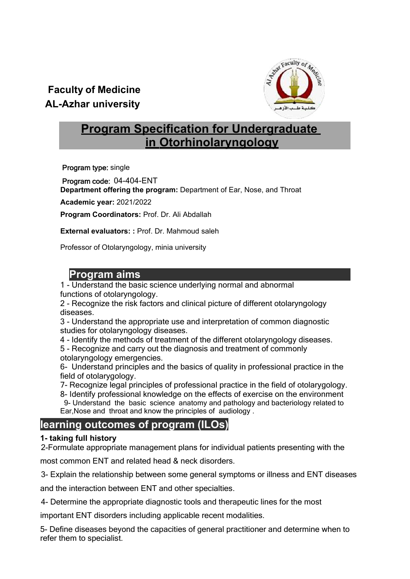# **Faculty of Medicine AL-Azhar university**



# **Program Specification for Undergraduate in Otorhinolaryngology**

Program type: single

Program code: 04-404-ENT **Department offering the program:** Department of Ear, Nose, and Throat

**Academic year:** 2021/2022

**Program Coordinators:** Prof. Dr. Ali Abdallah

**External evaluators: :** Prof. Dr. Mahmoud saleh

Professor of Otolaryngology, minia university

#### **I. Program aims**

1 - Understand the basic science underlying normal and abnormal functions of otolaryngology.

2 - Recognize the risk factors and clinical picture of different otolaryngology diseases.

3 - Understand the appropriate use and interpretation of common diagnostic studies for otolaryngology diseases.

4 - Identify the methods of treatment of the different otolaryngology diseases.

5 - Recognize and carry out the diagnosis and treatment of commonly otolaryngology emergencies.

6- Understand principles and the basics of quality in professional practice in the field of otolarygology.

7- Recognize legal principles of professional practice in the field of otolarygology.

8- Identify professional knowledge on the effects of exercise on the environment 9- Understand the basic science anatomy and pathology and bacteriology related to Ear,Nose and throat and know the principles of audiology .

# **learning outcomes of program (ILOs)**

#### **1- taking full history**

2-Formulate appropriate management plans for individual patients presenting with the

most common ENT and related head & neck disorders.

3- Explain the relationship between some general symptoms or illness and ENT diseases

and the interaction between ENT and other specialties.

4- Determine the appropriate diagnostic tools and therapeutic lines for the most

important ENT disorders including applicable recent modalities.

5- Define diseases beyond the capacities of general practitioner and determine when to refer them to specialist.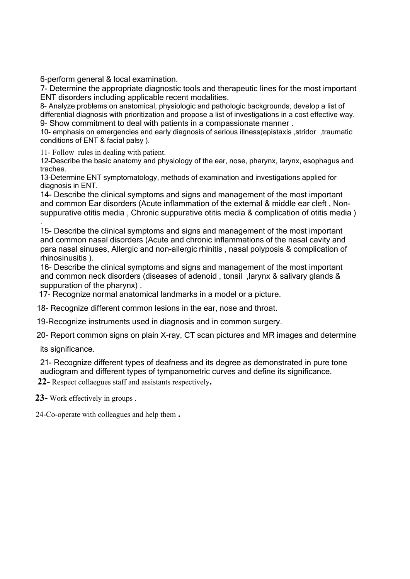6-perform general & local examination.

7- Determine the appropriate diagnostic tools and therapeutic lines for the most important ENT disorders including applicable recent modalities.

8- Analyze problems on anatomical, physiologic and pathologic backgrounds, develop a list of differential diagnosis with prioritization and propose a list of investigations in a cost effective way. 9- Show commitment to deal with patients in a compassionate manner .

10- emphasis on emergencies and early diagnosis of serious illness(epistaxis ,stridor ,traumatic conditions of ENT & facial palsy ).

11- Follow rules in dealing with patient.

12-Describe the basic anatomy and physiology of the ear, nose, pharynx, larynx, esophagus and trachea.

13-Determine ENT symptomatology, methods of examination and investigations applied for diagnosis in ENT.

14- Describe the clinical symptoms and signs and management of the most important and common Ear disorders (Acute inflammation of the external & middle ear cleft , Nonsuppurative otitis media , Chronic suppurative otitis media & complication of otitis media )

15- Describe the clinical symptoms and signs and management of the most important and common nasal disorders (Acute and chronic inflammations of the nasal cavity and para nasal sinuses, Allergic and non-allergic rhinitis , nasal polyposis & complication of rhinosinusitis ).

16- Describe the clinical symptoms and signs and management of the most important and common neck disorders (diseases of adenoid , tonsil ,larynx & salivary glands & suppuration of the pharynx) .

17- Recognize normal anatomical landmarks in a model or a picture.

18- Recognize different common lesions in the ear, nose and throat.

19-Recognize instruments used in diagnosis and in common surgery.

20- Report common signs on plain X-ray, CT scan pictures and MR images and determine

its significance.

.

21- Recognize different types of deafness and its degree as demonstrated in pure tone audiogram and different types of tympanometric curves and define its significance.

 **22-** Respect collaegues staff and assistants respectively**.** 

 **23-** Work effectively in groups .

24-Co-operate with colleagues and help them **.**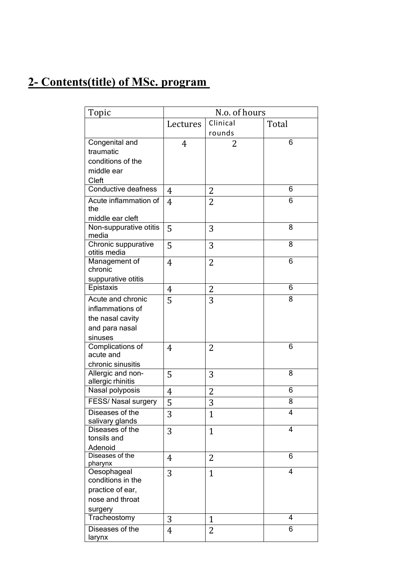# **2- Contents(title) of MSc. program**

| Topic                  | N.o. of hours |                |                |  |
|------------------------|---------------|----------------|----------------|--|
|                        | Lectures      | Clinical       | Total          |  |
|                        |               | rounds         |                |  |
| Congenital and         | 4             | 2              | 6              |  |
| traumatic              |               |                |                |  |
| conditions of the      |               |                |                |  |
| middle ear             |               |                |                |  |
| Cleft                  |               |                |                |  |
| Conductive deafness    | 4             | 2              | 6              |  |
| Acute inflammation of  | 4             | 2              | 6              |  |
| the                    |               |                |                |  |
| middle ear cleft       |               |                |                |  |
| Non-suppurative otitis | 5             | 3              | 8              |  |
| media                  |               |                |                |  |
| Chronic suppurative    | 5             | 3              | 8              |  |
| otitis media           |               |                |                |  |
| Management of          | 4             | $\overline{2}$ | 6              |  |
| chronic                |               |                |                |  |
| suppurative otitis     |               |                |                |  |
| Epistaxis              | 4             | $\overline{2}$ | 6              |  |
| Acute and chronic      | 5             | 3              | 8              |  |
| inflammations of       |               |                |                |  |
| the nasal cavity       |               |                |                |  |
| and para nasal         |               |                |                |  |
| sinuses                |               |                |                |  |
| Complications of       | 4             | 2              | 6              |  |
| acute and              |               |                |                |  |
| chronic sinusitis      |               |                |                |  |
| Allergic and non-      | 5             | 3              | 8              |  |
| allergic rhinitis      |               |                |                |  |
| Nasal polyposis        | 4             | $\overline{c}$ | 6              |  |
| FESS/ Nasal surgery    | 5             | 3              | 8              |  |
| Diseases of the        | 3             | $\overline{1}$ | 4              |  |
| salivary glands        |               |                |                |  |
| Diseases of the        | 3             | $\mathbf{1}$   | $\overline{4}$ |  |
| tonsils and            |               |                |                |  |
| Adenoid                |               |                |                |  |
| Diseases of the        | 4             | 2              | 6              |  |
| pharynx                |               |                |                |  |
| Oesophageal            | 3             | $\mathbf{1}$   | 4              |  |
| conditions in the      |               |                |                |  |
| practice of ear,       |               |                |                |  |
| nose and throat        |               |                |                |  |
| surgery                |               |                |                |  |
| Tracheostomy           | 3             | 1              | 4              |  |
| Diseases of the        | 4             | 2              | 6              |  |
| larynx                 |               |                |                |  |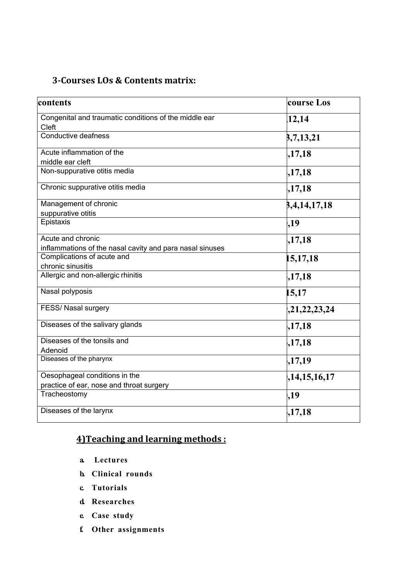### **3‐Courses LOs & Contents matrix:**

| contents                                                                      | course Los   |  |
|-------------------------------------------------------------------------------|--------------|--|
| Congenital and traumatic conditions of the middle ear<br>Cleft                | 12,14        |  |
| Conductive deafness                                                           | 3,7,13,21    |  |
| Acute inflammation of the<br>middle ear cleft                                 | ,17,18       |  |
| Non-suppurative otitis media                                                  | ,17,18       |  |
| Chronic suppurative otitis media                                              | ,17,18       |  |
| Management of chronic<br>suppurative otitis                                   | 8,4,14,17,18 |  |
| Epistaxis                                                                     | ,19          |  |
| Acute and chronic<br>inflammations of the nasal cavity and para nasal sinuses | ,17,18       |  |
| Complications of acute and<br>chronic sinusitis                               | 15, 17, 18   |  |
| Allergic and non-allergic rhinitis                                            | ,17,18       |  |
| Nasal polyposis                                                               | 15,17        |  |
| FESS/ Nasal surgery                                                           | ,21,22,23,24 |  |
| Diseases of the salivary glands                                               | ,17,18       |  |
| Diseases of the tonsils and<br>Adenoid                                        | ,17,18       |  |
| Diseases of the pharynx                                                       | ,17,19       |  |
| Oesophageal conditions in the<br>practice of ear, nose and throat surgery     | ,14,15,16,17 |  |
| Tracheostomy                                                                  | ,19          |  |
| Diseases of the larynx                                                        | ,17,18       |  |

# **4)Teaching and learning methods :**

- **a. Lectures**
- **b. Clinical rounds**
- **c. Tutorials**
- **d. Researches**
- **e. Case study**
- **f. Other assignments**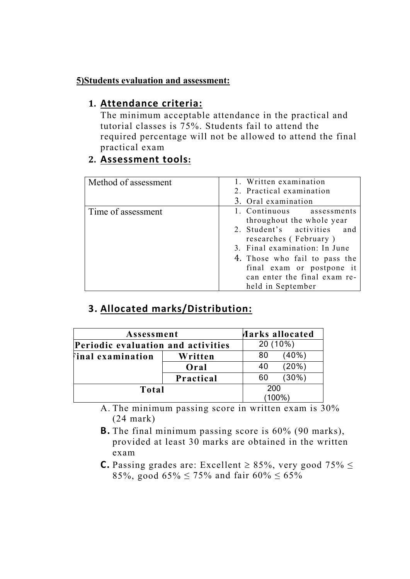#### **5)Students evaluation and assessment:**

### **1. Attendance criteria:**

The minimum acceptable attendance in the practical and tutorial classes is 75%. Students fail to attend the required percentage will not be allowed to attend the final practical exam

### **2. Assessment tools:**

| Method of assessment | 1. Written examination<br>2. Practical examination<br>3. Oral examination                                                                                                                                                                                          |  |
|----------------------|--------------------------------------------------------------------------------------------------------------------------------------------------------------------------------------------------------------------------------------------------------------------|--|
| Time of assessment   | 1. Continuous assessments<br>throughout the whole year<br>2. Student's activities and<br>researches (February)<br>3. Final examination: In June<br>4. Those who fail to pass the<br>final exam or postpone it<br>can enter the final exam re-<br>held in September |  |

# **3. Allocated marks/Distribution:**

| Assessment<br>Periodic evaluation and activities |           |     | <b>Harks allocated</b><br>20 (10%) |  |
|--------------------------------------------------|-----------|-----|------------------------------------|--|
|                                                  |           |     |                                    |  |
| inal examination)                                | Written   | 80  | $(40\%)$                           |  |
|                                                  | Oral      | 40  | (20%)                              |  |
|                                                  | Practical | 60  | $(30\%)$                           |  |
| Total                                            |           | 200 | $(100\%)$                          |  |

A. The minimum passing score in written exam is 30% (24 mark)

- **B.** The final minimum passing score is 60% (90 marks), provided at least 30 marks are obtained in the written exam
- **C.** Passing grades are: Excellent  $\geq 85\%$ , very good 75%  $\leq$ 85%, good  $65\% \le 75\%$  and fair  $60\% \le 65\%$